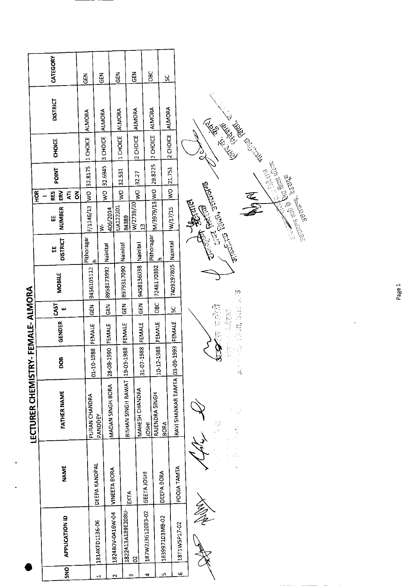|                                         |               | CATEGORY              | <b>GEN</b>    | GEN                             |                     | $\frac{2}{9}$                         | 준<br>영        |                                | Э                         | ୪             |                         |                                                                                                      |
|-----------------------------------------|---------------|-----------------------|---------------|---------------------------------|---------------------|---------------------------------------|---------------|--------------------------------|---------------------------|---------------|-------------------------|------------------------------------------------------------------------------------------------------|
|                                         |               | <b>DISTRICT</b>       | <b>ALMORA</b> |                                 | ALMORA              | <b>ALMORA</b>                         | ALMORA        |                                | ALMORA                    | ALMORA        |                         | Rue Rue Richard                                                                                      |
|                                         |               | CHOICE                | 1 CHOICE      |                                 | 3 CHOICE            | 1 CHOICE                              | 2 CHOICE      |                                | 2 CHOICE                  | 2 CHOICE      |                         |                                                                                                      |
|                                         |               | <b>POINT</b>          | 32.8175       |                                 | 32.6945             | 32.531                                | 32.27         |                                | 29.8225                   | 21.751        |                         |                                                                                                      |
|                                         | $\frac{8}{2}$ | ERV<br>RES<br>Ę<br>る  | $\frac{1}{2}$ |                                 | $\frac{1}{2}$       | ş                                     | $\frac{1}{2}$ |                                |                           | $\frac{8}{2}$ |                         | R RA                                                                                                 |
|                                         |               | <b>NUMBER</b><br>Ш    | F/1146/13     | $\frac{1}{2}$                   | 406/2014            | UA122201<br>84389                     | W/2739/20     | $\mathbf{r}$                   | M/3979/13 WO              | W/17/15       |                         | Contractor Contractor<br>TELEVIS RIGHT, SETURITES<br><b>Children Bound</b><br><b>CONTROLLED BANK</b> |
|                                         |               | <b>DISTRICT</b><br>出  | Pithoragar    | ᆠ                               | Nainital            | Nainital                              |               | Nainital                       | Pithoraga<br>$\mathbf{r}$ | Nainital      |                         |                                                                                                      |
|                                         |               | MOBILE                |               | 9456105112                      | 8958173992          | 8979317090                            |               | 9458136038                     | 7248170392                | 7409297805    |                         |                                                                                                      |
|                                         |               | 55<br>$\pmb{\omega}$  |               | $\tilde{5}$                     | $\tilde{d}$         | $\tilde{5}$                           |               | <b>GEN</b>                     | 9C                        | <u>u</u>      |                         | 空气后                                                                                                  |
|                                         |               | <b>GENDER</b>         |               | <b>FEMALE</b>                   | FEMALE              | FEMALE                                |               | <b>FEMALE</b>                  | FEMALE                    | FEMALE        |                         | こころ ピック<br>金数学                                                                                       |
|                                         |               | BOO                   |               | 01-10-1988                      | 28-08-1990          | 19-03-1988                            |               | 31-07-1988                     | 10-12-1988                | $9 - 1993$    |                         | $\frac{1}{16}$                                                                                       |
| <b>LECTURER CHEMISTRY-FEMALE-ALMORA</b> |               | <b>FATHER NAME</b>    |               | PURAN CHANDRA<br><b>PANDDEY</b> | MADAN SINGH BORA    | BISHAN SINGH RAWAT                    |               | MAHESH CHANDRA<br><b>IRSOL</b> | RAJENDRA SINGH            | <b>BORA</b>   | RAVI SHANKAR TAMTA 03-0 |                                                                                                      |
|                                         |               | <b>NAME</b>           |               | DEEPA KANDPAL                   | <b>VINEETA BORA</b> |                                       | EKTA          | GEETA JOSHI                    | DEEPA BORA                |               | POOJA TAMTA             |                                                                                                      |
|                                         |               | <b>APPLICATION ID</b> |               | 1814KFD1136-06                  |                     | 1822413A189E208U-<br>1824B0V-0416W-04 | $\mathbf{S}$  | 187W2J3G12093-02               | 1839971D3MB-02            |               | 18T1W5P17-02            | I)<br>Pe                                                                                             |
|                                         |               | SNO                   |               | 4                               |                     | $\mathbf{\tilde{c}}$                  | m             | 4                              |                           | Lņ,           | Q                       |                                                                                                      |

 $\ddot{\phantom{a}}$ 

Page 1

 $\downarrow$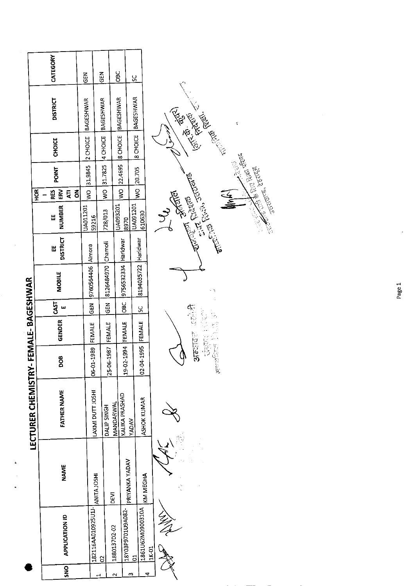|                  | CATEGORY            |                                 | <b>GEN</b>              | る<br>15            | <b>DBC</b>                         | š                                   |                           |  |                                                                                                                                                                                                                                      |            |                                                                                                                                                                                                                     |    |        |                           |  |
|------------------|---------------------|---------------------------------|-------------------------|--------------------|------------------------------------|-------------------------------------|---------------------------|--|--------------------------------------------------------------------------------------------------------------------------------------------------------------------------------------------------------------------------------------|------------|---------------------------------------------------------------------------------------------------------------------------------------------------------------------------------------------------------------------|----|--------|---------------------------|--|
|                  |                     | <b>DISTRICT</b>                 | <b>BAGESHWAR</b>        | <b>BAGESHWAR</b>   | <b>BAGESHWAR</b>                   | <b>BAGESHWAR</b>                    |                           |  | Entre Registration                                                                                                                                                                                                                   |            |                                                                                                                                                                                                                     |    | ť      |                           |  |
|                  |                     | <b>CHOICE</b>                   | 2 CHOICE                | 4 CHOICE           | 8 CHOICE                           | <b>B</b> CHOICE                     |                           |  |                                                                                                                                                                                                                                      |            |                                                                                                                                                                                                                     |    |        |                           |  |
|                  |                     | <b>POINT</b>                    | 31.9845                 | 31.7825            | WO 22.4695                         | WO 20.705                           |                           |  |                                                                                                                                                                                                                                      |            |                                                                                                                                                                                                                     |    | E<br>N |                           |  |
|                  | <b>HOR</b><br>RES   | E<br>중<br>Ę                     | $\overline{\mathsf{S}}$ | $\geq$             |                                    |                                     |                           |  |                                                                                                                                                                                                                                      |            |                                                                                                                                                                                                                     | 医盖 |        |                           |  |
|                  | 出                   | <b>NUMBER</b>                   | UA011201<br>59216       | 728/013            | UA093201                           | UA091201<br>8970                    | 610630                    |  |                                                                                                                                                                                                                                      |            |                                                                                                                                                                                                                     |    |        | References in the content |  |
|                  | Ш                   | <b>DISTRICT</b>                 |                         |                    |                                    | Haridwar                            |                           |  | <b>Controller School Property and Controller Controller Controller Controller Controller Controller Controller Controller Controller Controller Controller Controller Controller Controller Controller Controller Controller Con</b> |            |                                                                                                                                                                                                                     |    |        |                           |  |
|                  |                     | <b>MOBILE</b>                   | 9760564406 Almora       | 8126484970 Chamoli | 9756532334 Haridwar                | 8194035722                          |                           |  |                                                                                                                                                                                                                                      |            |                                                                                                                                                                                                                     |    |        |                           |  |
|                  |                     | CAST<br>$\overline{\mathbf{u}}$ | <b>GEN</b>              | <b>IGEN</b>        | <b>GBC</b>                         | S.                                  |                           |  |                                                                                                                                                                                                                                      |            |                                                                                                                                                                                                                     |    |        |                           |  |
| FEMALE-BAGESHWAR |                     | <b>GENDER</b>                   | FEMALE                  | <b>FEMALE</b>      | FEMALE                             |                                     | FEMALE                    |  | 东京                                                                                                                                                                                                                                   | 2010年4月第4日 | $\begin{bmatrix} \frac{\partial}{\partial t} & \frac{\partial}{\partial t} \\ \frac{\partial}{\partial t} & \frac{\partial}{\partial t} \\ \frac{\partial}{\partial t} & \frac{\partial}{\partial t} \end{bmatrix}$ |    |        |                           |  |
|                  |                     | DOB                             | 06-01-1989              | 25-06-1987         | 19-02-1994                         |                                     | 02-04-1995                |  | 375555                                                                                                                                                                                                                               |            | 白金宮龍                                                                                                                                                                                                                |    |        |                           |  |
|                  | LECTURER CHEMISTRY- | <b>FATHER NAME</b>              | LAXMI DUTT JOSHI        | DALIP SINGH        | KALIKA PRASHAD<br><b>MANDARWAL</b> | <b>VADAV</b>                        | <b>ASHOK KUMAR</b>        |  |                                                                                                                                                                                                                                      |            |                                                                                                                                                                                                                     |    |        |                           |  |
|                  |                     | <b>NAME</b>                     |                         | ANITA JOSHI        | DEVI                               | PRIYANKA YADAV                      | KM MEGHA                  |  |                                                                                                                                                                                                                                      |            |                                                                                                                                                                                                                     |    |        |                           |  |
|                  |                     | APPLICATION ID                  | 182116AA010925U11-      | $\tilde{c}$        | 1880137D2-02                       | 18Y03P9701U9A082-<br>$\overline{c}$ | 1861U62M0900310A<br>1K-01 |  |                                                                                                                                                                                                                                      |            |                                                                                                                                                                                                                     |    |        |                           |  |
|                  |                     | SNO                             |                         | ᆏ                  | $\overline{a}$                     | m                                   | 4                         |  |                                                                                                                                                                                                                                      |            |                                                                                                                                                                                                                     |    |        |                           |  |

 $\ddot{\phantom{a}}$ 

 $\hat{\beta}$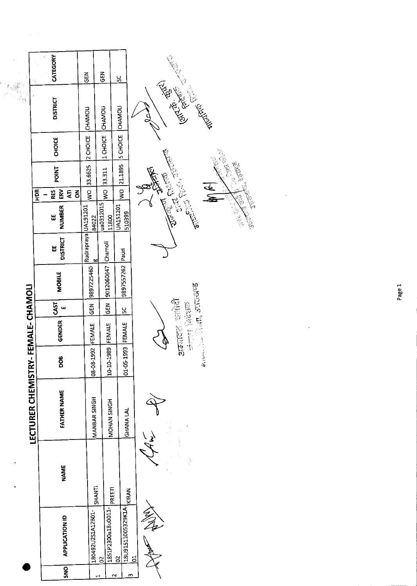|                    | CATEGORY                                               |                           |                                      |                                         | $\frac{1}{2}$                                                                                                                                       |
|--------------------|--------------------------------------------------------|---------------------------|--------------------------------------|-----------------------------------------|-----------------------------------------------------------------------------------------------------------------------------------------------------|
|                    |                                                        | $\frac{z}{9}$             | <b>GEN</b>                           | <u>v</u>                                |                                                                                                                                                     |
| es<br>Vite<br>Vite | <b>DISTRICT</b>                                        | CHAMOLI                   | <b>CHAMOLI</b>                       | CHAMOLI                                 | <b>Replacement of the Property of Contracts</b>                                                                                                     |
|                    | <b>CHOICE</b>                                          | 2 CHOICE                  | 1 CHOICE                             | <b>5 CHOICE</b>                         |                                                                                                                                                     |
|                    | POINT                                                  | 33.6625                   | 33.311                               | 21.1895                                 | <b>Called Branch</b><br>State of the states                                                                                                         |
|                    | ERV<br><b>HOK</b><br><b>RES</b><br>$\overline{A}$<br>š | $\frac{1}{2}$             | $rac{1}{2}$                          | $\frac{1}{2}$                           |                                                                                                                                                     |
|                    | <b>NUMBER</b><br>Ш                                     | 84022                     | ua0312015<br>11800                   | UA151201<br>510399                      | Control Bank<br>Controller Control Control Control Control Control Control Control Control Control Control Control Control Con<br><b>CONTROLLER</b> |
|                    | <b>DISTRICT</b><br>Ш                                   | Rudrapraya UA191201<br>50 |                                      |                                         |                                                                                                                                                     |
|                    | <b>MOBILE</b>                                          | 9897225460                | 9012060647 Chamoli                   | 9897557262 Pauri                        |                                                                                                                                                     |
|                    | CAST<br>ш                                              | <b>GEN</b>                | GEN                                  | $\frac{6}{5}$                           |                                                                                                                                                     |
| FEMALE-CHAMOLI     | GENDER                                                 | FEMALE                    | FEMALE                               | FEMALE                                  | काम्पाल होती, उत्तराखण्ड<br>अन्जादाह खलोदी<br>सेन्टन क्रिदेशक                                                                                       |
|                    | õ.                                                     | 08-08 1992                | 10-10-1989                           | $\frac{1}{2}$<br>$01 - 05 - 1$          |                                                                                                                                                     |
|                    | LECTURER CHEMISTRY-<br><b>FATHER NAME</b>              | MANBAR SINGH              | MOHAN SINGH                          | <b>GHANA LAL</b>                        |                                                                                                                                                     |
|                    | <b>NAME</b>                                            | SHANTI                    | PREETI                               |                                         | P                                                                                                                                                   |
|                    | <b>APPLICATION ID</b>                                  | 180492U2S1A12801-         | 1851P2300a18u0011-<br>$\overline{c}$ | 18U91511005329K1A-KIRAN<br>$\mathbf{S}$ | Ja<br>J<br>$\overline{5}$                                                                                                                           |
|                    | $rac{1}{2}$                                            |                           | 늰                                    | $\omega$<br>$\mathbf{\sim}$             |                                                                                                                                                     |

 $\hat{u}^{\dagger}_{\mu}(\vec{r})$ 

Page 1

 $\sim 10$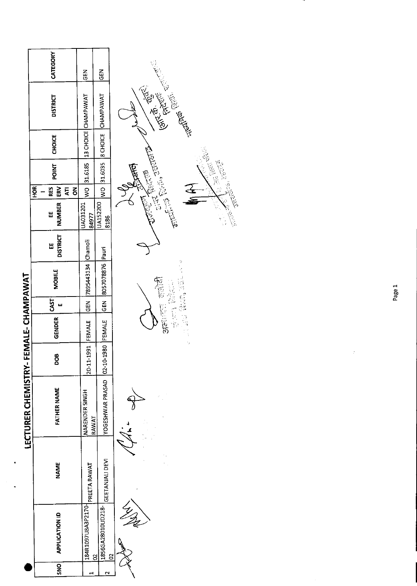| CATEGORY<br>មិ<br>មិ<br>준<br>영<br>Entre des Contracts<br>WO 31.6035  8 CHOICE CHAMPAWAT<br>13 CHOICE CHAMPAWAT<br><b>DISTRICT</b><br><b>CHOICE</b> |                            |
|----------------------------------------------------------------------------------------------------------------------------------------------------|----------------------------|
|                                                                                                                                                    |                            |
|                                                                                                                                                    |                            |
|                                                                                                                                                    |                            |
| WO 31.6185<br>POINT<br>$\frac{1}{2}$ , $\frac{1}{2}$ , $\frac{1}{2}$ , $\frac{1}{2}$                                                               | ्तार <sup>ी</sup><br>पूर्ण |
| HOR <sub>I</sub><br><b>ERV</b><br>Ę<br>RES<br>$\overline{6}$                                                                                       |                            |
| NUMBER<br>UA152200<br>UA031201<br>84977<br>띮<br>8186                                                                                               | <b>PENDANTS</b>            |
| <b>DISTRICT</b><br>Ш                                                                                                                               |                            |
| 7895443134 Chamoli<br>8057078876 Pauri<br><b>MOBILE</b><br><b>President</b><br>50 碳酸                                                               |                            |
| CAST<br>$rac{2}{3}$<br><b>SEN</b><br>ш                                                                                                             |                            |
| "一个 化二十一<br>SAESIE<br>B.<br>Ba<br>GENDER<br>FEMALE<br>FEMALE                                                                                       |                            |
| ٠,<br>02-10-1980<br>20-11-1991<br>DOB                                                                                                              |                            |
| LECTURER CHEMISTRY-FEMALE-CHAMPAWAT<br>YOGESHWAR PRASAD<br><b>FATHER NAME</b><br>NARENDER SINGH<br><b>RAWAT</b>                                    |                            |
| GEETANJALI DEVI<br><b>NAME</b><br>PREETA RAWAT                                                                                                     |                            |
| 184R1097U8A3P2170-<br>1856GA28010UD218-<br><b>APPLICATION ID</b><br>$\approx$<br>g                                                                 |                            |
| <b>ONS</b><br>$\sim$<br>٣                                                                                                                          |                            |

 $\ddot{\phantom{a}}$ 

Page 1

ý

75.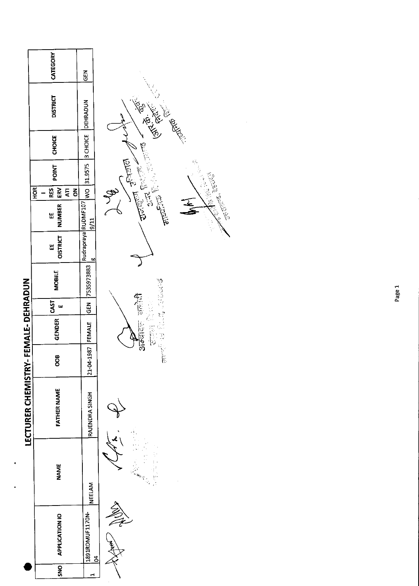|                     | CATEGORY                                                       | M35                           |                                                                         |
|---------------------|----------------------------------------------------------------|-------------------------------|-------------------------------------------------------------------------|
|                     | <b>DISTRICT</b>                                                | DEHRADUN                      | <b>Ken Kelly Redet</b>                                                  |
|                     | CHOICE                                                         | 3 CHOICE                      | ķ,                                                                      |
|                     | POINT                                                          | 2525.18                       | <b>REGISTER</b><br>$\lim_{\Delta\to\infty}\nabla^{\rm e}(\mathbb{R}^n)$ |
|                     | $\overline{ERV}$<br><b>HOR</b><br>RES  <br>Ę<br>$\overline{6}$ |                               | e<br>S                                                                  |
|                     | <b>NUMBER</b><br>Ш                                             | Rudrapraya RUDMF107<br>11/6   | <b>CONTROLLER</b><br><b>TRUNES</b> , 2007<br><b>CONSTRUCTION</b>        |
|                     | <b>OISTRICT</b><br>W                                           | 60                            |                                                                         |
|                     | MOBILE                                                         | 7535973883                    | 2005年7月                                                                 |
|                     | <b>GAST</b><br>ш                                               | $rac{5}{6}$                   | <b>SECTION</b>                                                          |
| /- FEMALE- DEHRADUN | <b>GENDER</b>                                                  |                               | 三江 高陽<br>$3\sqrt{5}$                                                    |
|                     | 800                                                            | 21-04-1987 FEMALE             | 一起                                                                      |
| LECTURER CHEMISTRY  | <b>FATHER NAME</b>                                             | RAJENDRA SINGH                |                                                                         |
|                     | <b>NAME</b>                                                    | <b>NEELAM</b>                 |                                                                         |
|                     | APPLICATION IO                                                 | 1891RDMUF1170N-<br><u>प्र</u> |                                                                         |
|                     | SNO                                                            | ⊣                             |                                                                         |

 $\frac{1}{2}$  ,  $\frac{1}{2}$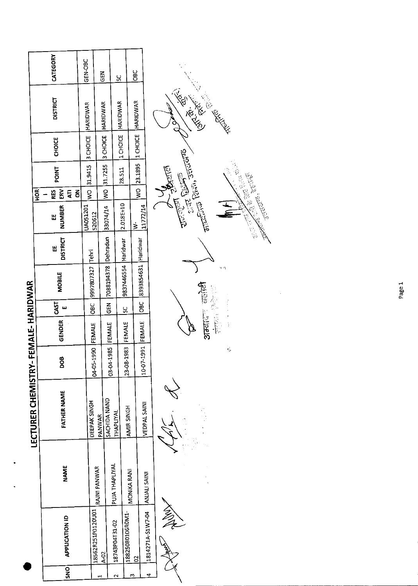|             |                                |                |                    |                   | '- FEMALE- HARIDWAR |               |                                                                                          |                      |                    |                             |       |               |                              |            |
|-------------|--------------------------------|----------------|--------------------|-------------------|---------------------|---------------|------------------------------------------------------------------------------------------|----------------------|--------------------|-----------------------------|-------|---------------|------------------------------|------------|
|             |                                |                | LECTURER CHEMISTRY |                   |                     |               |                                                                                          |                      |                    | HOR <sup>I</sup>            |       |               |                              |            |
| $rac{1}{2}$ | <b>APPLICATION ID</b>          | <b>NAME</b>    | FATHER NAME        | 800               | <b>GENDER</b>       | CAST          | MOBILE                                                                                   | <b>DISTRICT</b><br>띮 | <b>NUMBER</b><br>Ш | ERV<br><b>RES</b><br>Ę<br>š | POINT | <b>CHOICE</b> | <b>DISTRICT</b>              | CATEGORY   |
|             |                                |                |                    |                   |                     |               |                                                                                          |                      |                    |                             |       |               |                              |            |
|             |                                |                | DEEPAK SINGH       |                   |                     |               | 9997807327 Tehri                                                                         |                      | UA051201           |                             |       |               | WO 31.9415 3 CHOICE HARIDWAR | GEN-OBC    |
|             | 18562R251P0120U01              | RAINI PANWAR   | PANWAR             | 04-05-1990 FEMALE |                     | $rac{1}{6}$   |                                                                                          |                      | 520612             |                             |       |               |                              |            |
|             | A-02                           |                |                    |                   |                     |               | 03-04-1985  FEMALE  GEN  7088194378  Dehradun  33074/14  WO  31.7255  3 CHOICE  HARIDWAR |                      |                    |                             |       |               |                              | <b>GEN</b> |
|             | 18743P04T31-02                 | PUJA THAPLIYAL | SACHIDA NAND       |                   |                     |               |                                                                                          |                      |                    |                             |       |               |                              |            |
|             |                                |                | <b>THAPLIYAL</b>   |                   |                     |               | 9837446554 Haridwar  2.018E+10                                                           |                      |                    |                             |       |               | 28.511  1 CHOICE  HARIDWAR   | <u>s</u>   |
|             | 18825080106R0M1-               | MONIKA RANI    | AMIR SINGH         | 23-08-1983 FEMALE |                     | <u>ს</u><br>— |                                                                                          |                      |                    |                             |       |               |                              |            |
|             | 8                              |                |                    |                   |                     |               |                                                                                          |                      | ₹                  |                             |       |               | WO 23.1895 1 CHOICE HARIDWAR | 80<br>08   |
|             | 1814271A-51W7-04   ANJALI SAIN |                | VEDPAL SAINI       |                   |                     |               | 10-07-1991  FEMALE  OBC  8393854631  Haridwar                                            |                      | 11772/14           |                             |       |               |                              |            |
|             |                                |                |                    |                   |                     |               |                                                                                          |                      |                    |                             |       |               |                              |            |
|             |                                |                |                    |                   |                     |               |                                                                                          |                      |                    |                             |       |               |                              |            |

Astro March

 $\mathscr{A}$ 

 $\mathbb{Z}$ 

化复型化学 医急性

 $\frac{1}{\sqrt{2}}$ 

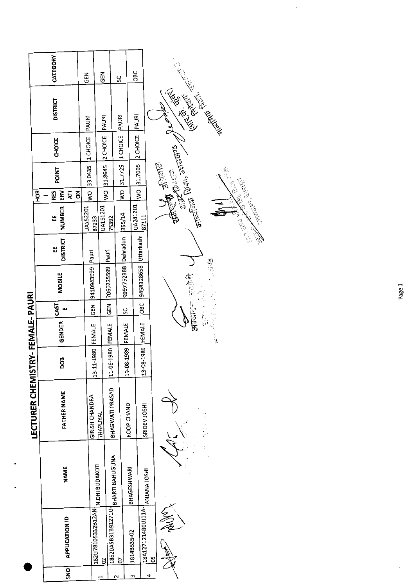|                         | CATEGORY                |                                   | $\frac{2}{9}$    | $\frac{2}{5}$                       |                   | ပ္တ               | <b>SEC</b>   |                                 |                             |              |
|-------------------------|-------------------------|-----------------------------------|------------------|-------------------------------------|-------------------|-------------------|--------------|---------------------------------|-----------------------------|--------------|
|                         | <b>DISTRICT</b>         |                                   | PAURI            | <b>PAURI</b>                        |                   | PAURI             | <b>PAURI</b> |                                 | <b>CONTROLLING ROOM</b>     |              |
|                         | CHOICE                  |                                   |                  |                                     | 2 CHOICE          | 1 CHOICE          | 2 CHOICE     |                                 |                             |              |
|                         | <b>POINT</b>            |                                   | 33.0435 1 CHOICE |                                     | 31.8645           | 31.7725           |              | WO 31.7605                      | <b>REGISTER</b>             |              |
|                         | HOR <sup>I</sup><br>RES | $\overline{\mathbf{g}}$<br>š<br>Ę | $\frac{1}{2}$    |                                     | $rac{1}{2}$       | $\frac{1}{2}$     |              |                                 |                             |              |
|                         | Ш                       | <b>NUMBER</b>                     | <b>UA152201</b>  | <b>UA151201</b><br>87233            | 75392             | 355/14            | UA241201     | 87111                           | offering Right, School of   | STORES ERICH |
|                         | Ш                       | <b>DISTRICT</b>                   | Pauri            |                                     |                   | Dehradun          |              |                                 |                             |              |
|                         |                         | <b>MOBILE</b>                     | 6665760176       |                                     | 7060225599 Pauri  | 9997752388        |              | 9458328658 Uttarkashi           | 00 P.S.<br>复想               |              |
|                         | <b>GAST</b>             | Щ                                 |                  | $rac{2}{5}$                         | ទី<br>ច           | ပ္တ               |              | $rac{1}{26}$                    | 一位 一卡<br><b>STERED STER</b> |              |
| <b>TRY-FEMALE-PAURI</b> |                         | GENDER                            |                  | <b>FEMALE</b>                       |                   |                   |              | 14 NM33   SS6T-80               | 医尿病性麻痹                      |              |
|                         |                         | BOO                               |                  | 1-1980<br>$13 - 11$                 | 11-06-1980 FEMALE | 19-08-1989 FEMALE |              | $\frac{5}{2}$                   |                             |              |
|                         | LECTURER CHEMIST        | <b>FATHER NAME</b>                | GIRISH CHANDRA   | <b>THAPLIYAL</b>                    | BHAGWATI PRASAD   |                   | ROOP CHAND   | SRIDEV JOSHI                    |                             |              |
|                         |                         | NAME                              |                  | NIDHI BUDAKOTI                      | BHARTI BAHUGUNA   |                   | BHAGESHWARI  |                                 |                             |              |
|                         |                         | APPLICATION ID                    |                  | 182U78105332B12AN<br>$\overline{5}$ | 18520A5B31B91271U | <b>D</b>          | 1814B535-02  | 18A127121480UJ11A- ANJANA JOSHI | <u>ម</u>                    |              |
|                         |                         | <b>SNS</b>                        |                  | H                                   |                   | 2                 | m            | 4                               |                             |              |

Page 1

 $\frac{1}{\sqrt{2}}$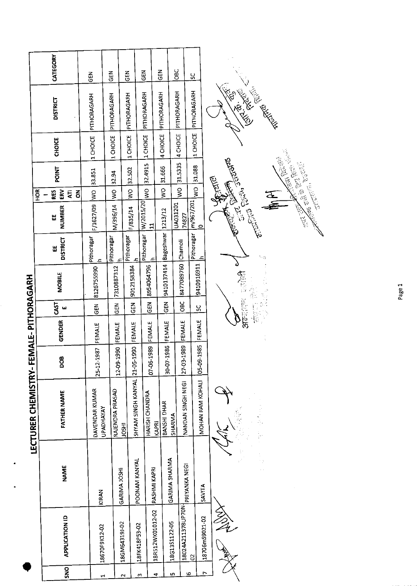|                    | HOR <sup>'</sup>    | CATEGORY<br><b>DISTRICT</b><br><b>CHOICE</b><br><b>POINT</b><br>ERV<br>RES<br>š<br>Ę<br>NUMBER<br>띱 | 즍<br>PITHORAGARH<br>1 CHOICE<br>F/1627/09  WO  33.851 | る<br>じ<br>PITHORAGARH<br>1 CHOICE<br>32.94<br>$rac{1}{2}$<br>M/396/14 | こと<br>この<br>PITHORAGARH<br>11 CHOICE<br>32.502<br>$rac{1}{2}$<br>F/835/14 | M35<br>PITHORAGARH<br>1 CHOICE<br>Pithoragar W/2015/20 | 32.4915<br>$\frac{1}{2}$<br>$\mathbf{H}$ | $\frac{2}{9}$<br>PITHORAGARH<br>4 CHOICE<br>31.666<br>ş | <b>OBC</b><br>PITHORAGARH<br>4 CHOICE<br>31.5335<br>$\frac{1}{2}$<br>UA031201 | ပ္တ<br>PITHORAGARH<br>Pithoragar   m/967/201<br>74827 | 1 CHOICE<br>31.088<br>$rac{1}{2}$<br>$\circ$ | Contractor Red<br>CALLES REAL<br>ELETTIS TEGN JERENDA<br><b>REATED</b> |
|--------------------|---------------------|-----------------------------------------------------------------------------------------------------|-------------------------------------------------------|-----------------------------------------------------------------------|---------------------------------------------------------------------------|--------------------------------------------------------|------------------------------------------|---------------------------------------------------------|-------------------------------------------------------------------------------|-------------------------------------------------------|----------------------------------------------|------------------------------------------------------------------------|
|                    |                     | <b>DISTRICT</b><br>H<br><b>MOBILE</b>                                                               | Pithoragar<br>ᅀ<br>8126755990                         | Pithoragar<br>7310887312                                              | Pithoragar<br>9012158384                                                  |                                                        | £.<br>8954064796                         | 9410137414   Bageshwar   1213/12                        |                                                                               | Chamoli<br>8477089760                                 | 9410916911                                   | (۱۰۰<br>医注意                                                            |
|                    |                     | CAST<br>щ                                                                                           | GEN                                                   | $\frac{2}{9}$                                                         | <b>KOD</b>                                                                |                                                        | <b>CEN</b>                               | $\tilde{g}$                                             |                                                                               | OBC                                                   | 50                                           | 3753110                                                                |
| FEMALE-PITHORAGARH |                     | <b>GENDER</b><br><b>800</b>                                                                         | FEMALE<br>25-12-1987                                  | FEMALE<br>12-09-1990                                                  | FEMALE                                                                    |                                                        | FEMALE<br>07-06-1989                     | FEMALE<br>30-07-1986                                    |                                                                               | FEMALE<br>27-03-1989                                  | <b>FEMALE</b><br>05-09-1985                  |                                                                        |
|                    | LECTURER CHEMISTRY- | <b>FATHER NAME</b>                                                                                  | DAVENDAR KUMAR<br><b>UPADHAYAY</b>                    | RAJENDRA PRASAD                                                       | <b>LESOL</b>                                                              | SHYAM SINGH KANYAL 21-05-1990                          | HARISH CHANDRA<br>KAPRI                  | BANSHI DHAR                                             | <b>SHARMA</b>                                                                 | NANDAN SINGH NEGI                                     | MOHAN RAM KOHALI                             |                                                                        |
|                    |                     | NAME                                                                                                | KIRAN                                                 |                                                                       | GARIMA JOSHI                                                              | POONAM KANYAL                                          | RASHMI KAPRI                             | <b>GARIMA SHARMA</b>                                    |                                                                               | PRIYANKA NEGI                                         | SAVITA                                       |                                                                        |
|                    |                     | <b>APPLICATION ID</b>                                                                               | 18670F9K12-02                                         |                                                                       | 18GM64319J-02                                                             | 18FK418P53-02                                          | 18R512WK01012-02                         |                                                         | 18G13S1122-05                                                                 | 18024A211378UP70N<br>$\beta$                          | 18706mS9021-02                               | 参观                                                                     |
|                    |                     | <b>SNO</b>                                                                                          | ٣                                                     |                                                                       | $\mathbf{\tilde{c}}$                                                      | m                                                      | 4                                        |                                                         | LŊ,                                                                           | ю                                                     | $\overline{ }$                               |                                                                        |

٦



Page 1

Arthur Reservation Contract Contract Contract Contract Contract Contract Contract Contract Contract Contract Contract Contract Contract Contract Contract Contract Contract Contract Contract Contract Contract Contract Contr

 $\frac{1}{\sqrt{2}}$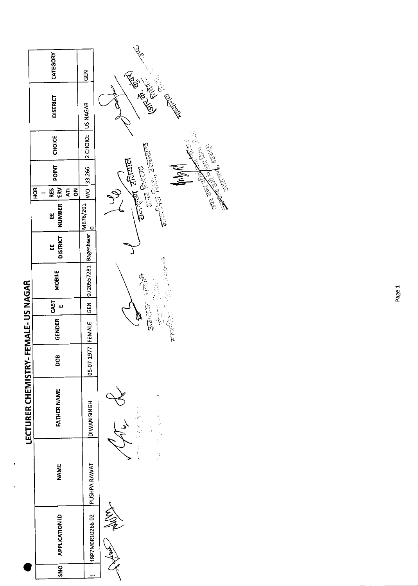|                     | CATEGORY                    | $rac{5}{10}$         | <b>CONTROL</b>                                                                     |
|---------------------|-----------------------------|----------------------|------------------------------------------------------------------------------------|
|                     | <b>DISTRICT</b>             |                      | <b>REPAIR MEDITERS</b>                                                             |
|                     | <b>CHOICE</b>               | 2 CHOICE US NAGAR    | Real Property of Canada Company                                                    |
|                     | POINT                       | WO 33.266            | $\frac{1}{2\sqrt{2}}$ and $\frac{1}{2\sqrt{2}}$<br><b>C.R. BEET</b><br><b>AKWA</b> |
|                     | HOR<br>$\bf \tilde{5}$<br>Ę |                      |                                                                                    |
|                     | EE RES<br>NUMBER ERV        | M676/201<br>0        | $\mathbb{R}^{n\times n}$ $\mathbb{R}^{n\times n}$ and $\mathbb{R}^{n\times n}$     |
|                     | <b>DISTRICT</b><br>Ш        | 9720557281 Bageshwar |                                                                                    |
|                     | MOBILE                      |                      | <b>CASE DESCRIPTION</b><br>医精英                                                     |
|                     | CAST<br>ш                   | GEN                  | Ç<br>G<br>"我"                                                                      |
| FEMALE-US NAGAR     | <b>GENDER</b>               |                      | 一定有着                                                                               |
|                     | 8                           | 05-07-1977  FEMALE   |                                                                                    |
| LECTURER CHEMISTRY- | FATHER NAME                 | DIWAN SINGH          | 法单趾<br>$\frac{1}{2}$                                                               |
| ٠                   | <b>NAME</b>                 | PUSHPA RAWAT         | ş                                                                                  |
|                     | <b>APPLICATION ID</b>       | 18P7M0R10266-02      |                                                                                    |
|                     | SNO                         | اس                   |                                                                                    |

Page 1